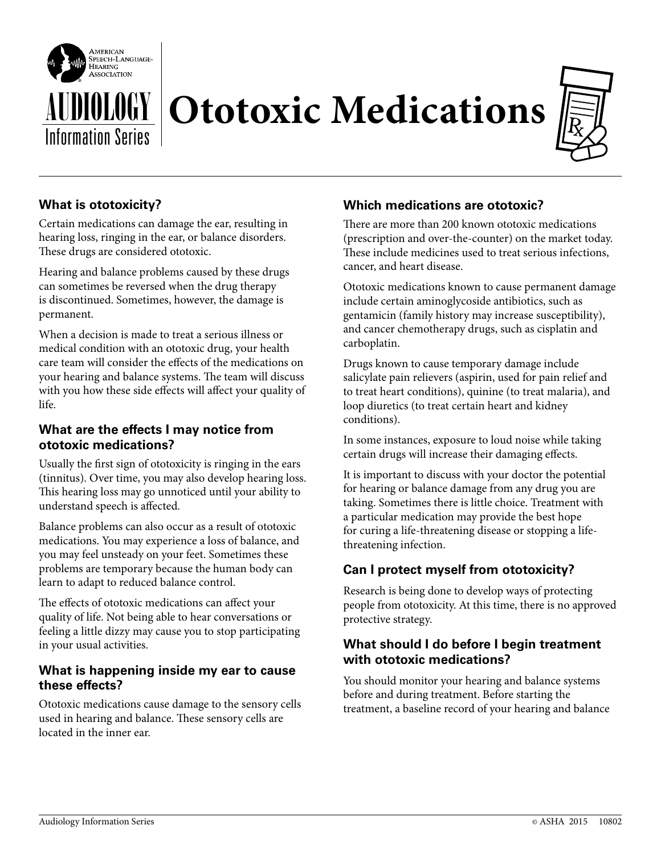

# **Ototoxic Medications**



# **What is ototoxicity?**

Certain medications can damage the ear, resulting in hearing loss, ringing in the ear, or balance disorders. These drugs are considered ototoxic.

Hearing and balance problems caused by these drugs can sometimes be reversed when the drug therapy is discontinued. Sometimes, however, the damage is permanent.

When a decision is made to treat a serious illness or medical condition with an ototoxic drug, your health care team will consider the effects of the medications on your hearing and balance systems. The team will discuss with you how these side effects will affect your quality of life.

## **What are the effects I may notice from ototoxic medications?**

Usually the first sign of ototoxicity is ringing in the ears (tinnitus). Over time, you may also develop hearing loss. This hearing loss may go unnoticed until your ability to understand speech is affected.

Balance problems can also occur as a result of ototoxic medications. You may experience a loss of balance, and you may feel unsteady on your feet. Sometimes these problems are temporary because the human body can learn to adapt to reduced balance control.

The effects of ototoxic medications can affect your quality of life. Not being able to hear conversations or feeling a little dizzy may cause you to stop participating in your usual activities.

### **What is happening inside my ear to cause these effects?**

Ototoxic medications cause damage to the sensory cells used in hearing and balance. These sensory cells are located in the inner ear.

# **Which medications are ototoxic?**

There are more than 200 known ototoxic medications (prescription and over-the-counter) on the market today. These include medicines used to treat serious infections, cancer, and heart disease.

Ototoxic medications known to cause permanent damage include certain aminoglycoside antibiotics, such as gentamicin (family history may increase susceptibility), and cancer chemotherapy drugs, such as cisplatin and carboplatin.

Drugs known to cause temporary damage include salicylate pain relievers (aspirin, used for pain relief and to treat heart conditions), quinine (to treat malaria), and loop diuretics (to treat certain heart and kidney conditions).

In some instances, exposure to loud noise while taking certain drugs will increase their damaging effects.

It is important to discuss with your doctor the potential for hearing or balance damage from any drug you are taking. Sometimes there is little choice. Treatment with a particular medication may provide the best hope for curing a life-threatening disease or stopping a lifethreatening infection.

# **Can I protect myself from ototoxicity?**

Research is being done to develop ways of protecting people from ototoxicity. At this time, there is no approved protective strategy.

### **What should I do before I begin treatment with ototoxic medications?**

You should monitor your hearing and balance systems before and during treatment. Before starting the treatment, a baseline record of your hearing and balance